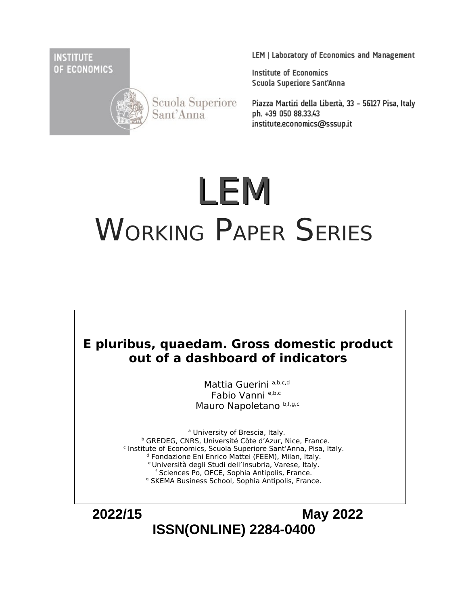**INSTITUTE** OF ECONOMICS



Scuola Superiore Sant'Anna

LEM | Laboratory of Economics and Management

**Institute of Economics** Scuola Superiore Sant'Anna

Piazza Martiri della Libertà, 33 - 56127 Pisa, Italy ph. +39 050 88.33.43 institute.economics@sssup.it

# LEM WORKING PAPER SERIES



Mattia Guerini a,b,c,d Fabio Vanni e,b,c Mauro Napoletano b,f,g,c

<sup>a</sup> University of Brescia, Italy. <sup>b</sup> GREDEG, CNRS, Université Côte d'Azur, Nice, France. c Institute of Economics, Scuola Superiore Sant'Anna, Pisa, Italy. <sup>d</sup> Fondazione Eni Enrico Mattei (FEEM), Milan, Italy. <sup>e</sup>Università degli Studi dell'Insubria, Varese, Italy. f Sciences Po, OFCE, Sophia Antipolis, France. <sup>9</sup> SKEMA Business School, Sophia Antipolis, France.

 **2022/15 May 2022 ISSN(ONLINE) 2284-0400**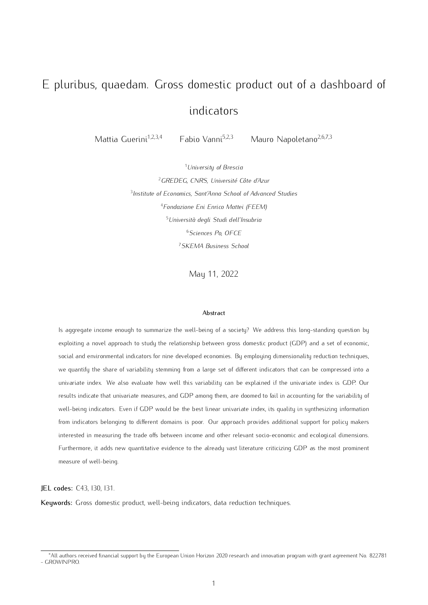# E pluribus, quaedam. Gross domestic product out of a dashboard of indicators

Mattia Guerini<sup>1,2,3,4</sup> Fabio Vanni<sup>5,2,3</sup> Mauro Napoletano<sup>2,6,7,3</sup>

*University of Brescia GREDEG, CNRS, Université Côte d'Azur Institute of Economics, Sant'Anna School of Advanced Studies Fondazione Eni Enrico Mattei (FEEM) Università degli Studi dell'Insubria Sciences Po, OFCE SKEMA Business School*

May 11, 2022

#### Abstract

Is aggregate income enough to summarize the well-being of a society? We address this long-standing question by exploiting a novel approach to study the relationship between gross domestic product (GDP) and a set of economic, social and environmental indicators for nine developed economies. By employing dimensionality reduction techniques, we quantify the share of variability stemming from a large set of different indicators that can be compressed into a univariate index. We also evaluate how well this variability can be explained if the univariate index is GDP. Our results indicate that univariate measures, and GDP among them, are doomed to fail in accounting for the variability of well-being indicators. Even if GDP would be the best linear univariate index, its quality in synthesizing information from indicators belonging to different domains is poor. Our approach provides additional support for policy makers interested in measuring the trade offs between income and other relevant socio-economic and ecological dimensions. Furthermore, it adds new quantitative evidence to the already vast literature criticizing GDP as the most prominent measure of well-being.

JEL codes: C43, I30, I31.

Keywords: Gross domestic product, well-being indicators, data reduction techniques.

*<sup>∗</sup>*All authors received financial support by the European Union Horizon 2020 research and innovation program with grant agreement No. 822781 - GROWINPRO.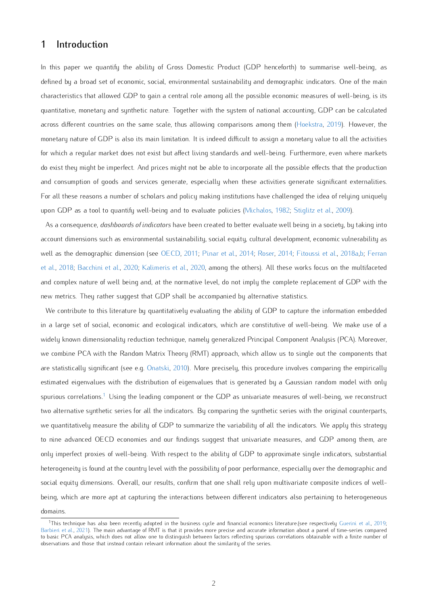# 1 Introduction

In this paper we quantify the ability of Gross Domestic Product (GDP henceforth) to summarise well-being, as defined by a broad set of economic, social, environmental sustainability and demographic indicators. One of the main characteristics that allowed GDP to gain a central role among all the possible economic measures of well-being, is its quantitative, monetary and synthetic nature. Together with the system of national accounting, GDP can be calculated across different countries on the same scale, thus allowing comparisons among them (Hoekstra, 2019). However, the monetary nature of GDP is also its main limitation. It is indeed difficult to assign a monetary value to all the activities for which a regular market does not exist but affect living standards and well-being. Furthermore, even where markets do exist they might be imperfect. And prices might not be able to incorporate all the possible effects that the production and consumption of goods and services generate, especially when these activities generate significant externalities. For all these reasons a number of scholars and policy making institutions have challenged the idea of relying uniquely upon GDP as a tool to quantify well-being and to evaluate policies (Michalos, 1982; Stiglitz et al., 2009).

As a consequence, *dashboards of indicators* have been created to better evaluate well being in a society, by taking into account dimensions such as environmental sustainability, social equity, cultural development, economic vulnerability as well as the demographic dimension (see OECD, 2011; Pinar et al., 2014; Roser, 2014; Fitoussi et al., 2018a,b; Ferran et al., 2018; Bacchini et al., 2020; Kalimeris et al., 2020, among the others). All these works focus on the multifaceted and complex nature of well being and, at the normative level, do not imply the complete replacement of GDP with the new metrics. They rather suggest that GDP shall be accompanied by alternative statistics.

We contribute to this literature by quantitatively evaluating the ability of GDP to capture the information embedded in a large set of social, economic and ecological indicators, which are constitutive of well-being. We make use of a widely known dimensionality reduction technique, namely generalized Principal Component Analysis (PCA). Moreover, we combine PCA with the Random Matrix Theory (RMT) approach, which allow us to single out the components that are statistically significant (see e.g. Onatski, 2010). More precisely, this procedure involves comparing the empirically estimated eigenvalues with the distribution of eigenvalues that is generated by a Gaussian random model with only spurious correlations.<sup>1</sup> Using the leading component or the GDP as univariate measures of well-being, we reconstruct two alternative synthetic series for all the indicators. By comparing the synthetic series with the original counterparts, we quantitatively measure the ability of GDP to summarize the variability of all the indicators. We apply this strategy to nine advanced OECD economies and our findings suggest that univariate measures, and GDP among them, are only imperfect proxies of well-being. With respect to the ability of GDP to approximate single indicators, substantial heterogeneity is found at the country level with the possibility of poor performance, especially over the demographic and social equity dimensions. Overall, our results, confirm that one shall rely upon multivariate composite indices of wellbeing, which are more apt at capturing the interactions between different indicators also pertaining to heterogeneous domains.

<sup>&</sup>lt;sup>1</sup>This technique has also been recently adopted in the business cycle and financial economics literature.(see respectively Guerini et al., 2019; Barbieri et al., 2021). The main advantage of RMT is that it provides more precise and accurate information about a panel of time-series compared to basic PCA analysis, which does not allow one to distinguish between factors reflecting spurious correlations obtainable with a finite number of observations and those that instead contain relevant information about the similarity of the series.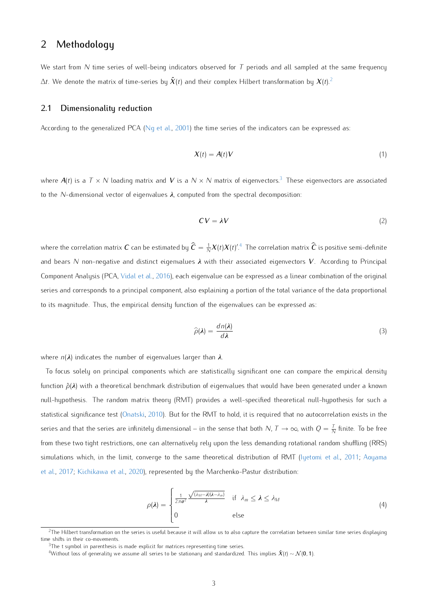# 2 Methodology

We start from *N* time series of well-being indicators observed for *T* periods and all sampled at the same frequency  $\Delta t$ . We denote the matrix of time-series by  $\tilde{\bm{X}}(t)$  and their complex Hilbert transformation by  $\bm{X}(t)$ . $^2$ 

#### 2.1 Dimensionalitu reduction

According to the generalized PCA (Ng et al., 2001) the time series of the indicators can be expressed as:

$$
X(t) = A(t)V \tag{1}
$$

where  $A(t)$  is a  $T \times N$  loading matrix and V is a  $N \times N$  matrix of eigenvectors.<sup>3</sup> These eigenvectors are associated to the *N*-dimensional vector of eigenvalues *λ*, computed from the spectral decomposition:

$$
CV = \lambda V \tag{2}
$$

where the correlation matrix  $C$  can be estimated by  $\widehat C=\frac1N X(t)X(t)'$ . The correlation matrix  $\widehat C$  is positive semi-definite . and bears *N* non-negative and distinct eigenvalues *λ* with their associated eigenvectors *V*. According to Principal Component Analysis (PCA, Vidal et al., 2016), each eigenvalue can be expressed as a linear combination of the original series and corresponds to a principal component, also explaining a portion of the total variance of the data proportional to its magnitude. Thus, the empirical density function of the eigenvalues can be expressed as:

$$
\widehat{\rho}(\lambda) = \frac{dn(\lambda)}{d\lambda} \tag{3}
$$

where *n*(*λ*) indicates the number of eigenvalues larger than *λ*.

To focus solely on principal components which are statistically significant one can compare the empirical density function *ρ*ˆ(*λ*) with a theoretical benchmark distribution of eigenvalues that would have been generated under a known null-hypothesis. The random matrix theory (RMT) provides a well-specified theoretical null-hypothesis for such a statistical significance test (Onatski, 2010). But for the RMT to hold, it is required that no autocorrelation exists in the series and that the series are infinitely dimensional – in the sense that both  $N$ ,  $T\to\infty$ , with  $Q=\frac{T}{N}$  finite. To be free from these two tight restrictions, one can alternatively rely upon the less demanding rotational random shuffling (RRS) simulations which, in the limit, converge to the same theoretical distribution of RMT (Iyetomi et al., 2011; Aoyama et al., 2017; Kichikawa et al., 2020), represented by the Marchenko-Pastur distribution:

$$
\rho(\lambda) = \begin{cases} \frac{1}{2\pi\sigma^2} \frac{\sqrt{(\lambda_M - \lambda)(\lambda - \lambda_m)}}{\lambda} & \text{if } \lambda_m \leq \lambda \leq \lambda_M \\ 0 & \text{else} \end{cases}
$$
(4)

 $2$ The Hilbert transformation on the series is useful because it will allow us to also capture the correlation between similar time series displaying time shifts in their co-movements.

<sup>&</sup>lt;sup>3</sup>The t symbol in parenthesis is made explicit for matrices representing time series.

<sup>4</sup>Without loss of generality we assume all series to be stationary and standardized. This implies *X*˜ (*t*) *∼ N* (0*,* 1).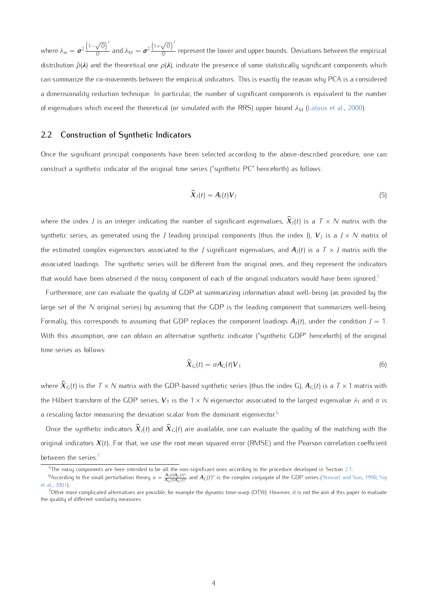where  $\lambda_m = \boldsymbol{\sigma}^2$  1*− √ Q* 2  $\frac{\nabla \cdot \mathbf{V}}{Q}$  and  $\lambda_M = \boldsymbol{\sigma}^2$  $(1+\sqrt{Q})^2$  $\frac{V(t)}{Q}$  represent the lower and upper bounds. Deviations between the empirical distribution  $\hat{\rho}(\lambda)$  and the theoretical one  $\rho(\lambda)$ , indicate the presence of some statistically significant components which can summarize the co-movements between the empirical indicators. This is exactly the reason why PCA is a considered a dimensionality reduction technique. In particular, the number of significant components is equivalent to the number of eigenvalues which exceed the theoretical (or simulated with the RRS) upper bound *λ<sup>M</sup>* (Laloux et al., 2000).

#### 2.2 Construction of Synthetic Indicators

Once the significant principal components have been selected according to the above-described procedure, one can construct a synthetic indicator of the original time series ("synthetic PC" henceforth) as follows:

$$
\widehat{X}_J(t) = A_J(t)V_J \tag{5}
$$

where the index  $J$  is an integer indicating the number of significant eigenvalues,  $\widehat X_J(t)$  is a  $\mathcal T\times N$  matrix with the synthetic series, as generated using the *J* leading principal components (thus the index J), *V<sup>J</sup>* is a *J × N* matrix of the estimated complex eigenvectors associated to the *J* significant eigenvalues, and *A<sup>J</sup>* (*t*) is a *T × J* matrix with the associated loadings. The synthetic series will be different from the original ones, and they represent the indicators that would have been observed if the noisy component of each of the original indicators would have been ignored.<sup>5</sup>

Furthermore, one can evaluate the quality of GDP at summarizing information about well-being (as provided by the large set of the *N* original series) by assuming that the GDP is the leading component that summarizes well-being Formally, this corresponds to assuming that GDP replaces the component loadings *A<sup>J</sup>* (*t*), under the condition *J* = 1. With this assumption, one can obtain an alternative synthetic indicator ("synthetic GDP" henceforth) of the original time series as follows:

$$
\widehat{\mathbf{X}}_G(t) = \alpha \mathbf{A}_G(t) \mathbf{V}_1 \tag{6}
$$

where  $\widehat X_G(t)$  is the  $\mathcal T\times N$  matrix with the GDP-based synthetic series (thus the index G),  $A_G(t)$  is a  $\mathcal T\times 1$  matrix with the Hilbert transform of the GDP series,  $V_1$  is the 1 × N eigenvector associated to the largest eigenvalue  $\lambda_1$  and  $\alpha$  is a rescaling factor measuring the deviation scalar from the dominant eigenvector.<sup>6</sup>

Once the synthetic indicators  $\widehat X_J(t)$  and  $\widehat X_G(t)$  are available, one can evaluate the quality of the matching with the original indicators *X*(*t*). For that, we use the root mean squared error (RMSE) and the Pearson correlation coefficient between the series.<sup>7</sup>

<sup>&</sup>lt;sup>5</sup>The noisy components are here intended to be all the non-significant ones according to the procedure developed in Section 2.1.

<sup>&</sup>lt;sup>6</sup> According to the small perturbation theory  $\alpha = \frac{A_1(t)A_G(t)^*}{A_G(t)A_G(t)^*}$  $\frac{A_1(t)A_G(t)^*}{A_G(t)A_G(t)^*}$  and  $A_G(t)^*$  is the complex conjugate of the GDP series (Stewart and Sun, 1990; Ng et al., 2001).

 $7$ Other more complicated alternatives are possible, for example the dynamic time-warp (DTW). However, it is not the aim of this paper to evaluate the quality of different similarity measures.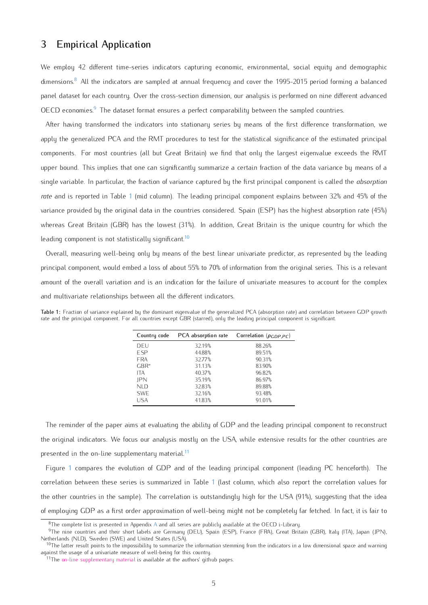## 3 Empirical Application

We employ 42 different time-series indicators capturing economic, environmental, social equity and demographic dimensions.<sup>8</sup> All the indicators are sampled at annual frequency and cover the 1995-2015 period forming a balanced panel dataset for each country. Over the cross-section dimension, our analysis is performed on nine different advanced OECD economies.<sup>9</sup> The dataset format ensures a perfect comparability between the sampled countries.

After having transformed the indicators into stationary series by means of the first difference transformation, we apply the generalized PCA and the RMT procedures to test for the statistical significance of the estimated principal components. For most countries (all but Great Britain) we find that only the largest eigenvalue exceeds the RMT upper bound. This implies that one can significantly summarize a certain fraction of the data variance by means of a single variable. In particular, the fraction of variance captured by the first principal component is called the *absorption rate* and is reported in Table 1 (mid column). The leading principal component explains between 32% and 45% of the variance provided by the original data in the countries considered. Spain (ESP) has the highest absorption rate (45%) whereas Great Britain (GBR) has the lowest (31%). In addition, Great Britain is the unique country for which the leading component is not statistically significant.<sup>10</sup>

Overall, measuring well-being only by means of the best linear univariate predictor, as represented by the leading principal component, would embed a loss of about 55% to 70% of information from the original series. This is a relevant amount of the overall variation and is an indication for the failure of univariate measures to account for the complex and multivariate relationships between all the different indicators.

Table 1: Fraction of variance explained by the dominant eigenvalue of the generalized PCA (absorption rate) and correlation between GDP growth rate and the principal component. For all countries except GBR (starred), only the leading principal component is significant.

| Country code | PCA absorption rate | Correlation ( $\rho_{GDP,PC}$ ) |
|--------------|---------------------|---------------------------------|
| DEU          | 32.19%              | 88.26%                          |
| <b>FSP</b>   | 44.88%              | 89.51%                          |
| <b>FRA</b>   | 32.77%              | 90.31%                          |
| $GBR^*$      | 31.13%              | 83.90%                          |
| ITA          | 40.37%              | 96.82%                          |
| <b>IPN</b>   | 35.19%              | 86.97%                          |
| NI D         | 32.83%              | 89.88%                          |
| <b>SWF</b>   | 32.16%              | 93.48%                          |
| USA          | 41.83%              | 91.01%                          |

The reminder of the paper aims at evaluating the ability of GDP and the leading principal component to reconstruct the original indicators. We focus our analysis mostly on the USA, while extensive results for the other countries are presented in the on-line supplementary material.<sup>11</sup>

Figure 1 compares the evolution of GDP and of the leading principal component (leading PC henceforth). The correlation between these series is summarized in Table 1 (last column, which also report the correlation values for the other countries in the sample). The correlation is outstandingly high for the USA (91%), suggesting that the idea of employing GDP as a first order approximation of well-being might not be completely far fetched. In fact, it is fair to

 $8$ The complete list is presented in Appendix A and all series are publicly available at the OECD i-Library.

<sup>&</sup>lt;sup>9</sup>The nine countries and their short labels are Germany (DEU), Spain (ESP), France (FRA), Great Britain (GBR), Italy (ITA), Japan (JPN), Netherlands (NLD), Sweden (SWE) and United States (USA).

 $10$ The latter result points to the impossibility to summarize the information stemming from the indicators in a low dimensional space and warning against the usage of a univariate measure of well-being for this country.

<sup>&</sup>lt;sup>11</sup>The [on-line supplementary material](https://github.com/mattiaguerini/indicators_online_material) is available at the authors' github pages.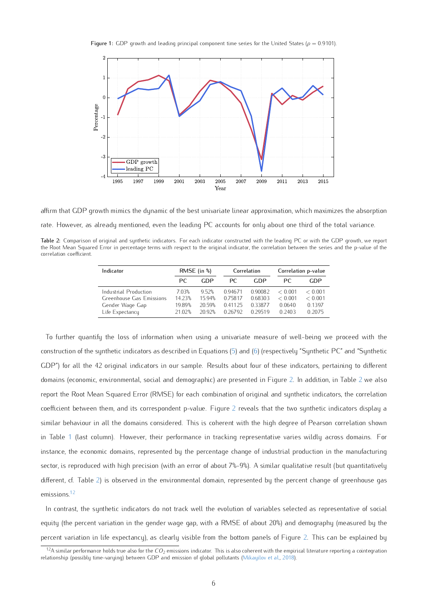Figure 1: GDP growth and leading principal component time series for the United States ( $\rho = 0.9101$ ).



affirm that GDP growth mimics the dynamic of the best univariate linear approximation, which maximizes the absorption rate. However, as already mentioned, even the leading PC accounts for only about one third of the total variance.

| Table 2: Comparison of original and synthetic indicators. For each indicator constructed with the leading PC or with the GDP growth, we report    |  |  |  |  |  |  |  |
|---------------------------------------------------------------------------------------------------------------------------------------------------|--|--|--|--|--|--|--|
| the Root Mean Squared Error in percentage terms with respect to the original indicator, the correlation between the series and the p-value of the |  |  |  |  |  |  |  |
| correlation coefficient.                                                                                                                          |  |  |  |  |  |  |  |

| Indicator                                                                               | RMSE (in $\%$ )                    |                                  | Correlation                           |                                         | Correlation p-value                    |                                        |  |
|-----------------------------------------------------------------------------------------|------------------------------------|----------------------------------|---------------------------------------|-----------------------------------------|----------------------------------------|----------------------------------------|--|
|                                                                                         | PC.                                | GDP                              | PC.                                   | GDP                                     | PC.                                    | GDP                                    |  |
| Industrial Production<br>Greenhouse Gas Emissions<br>Gender Wage Gap<br>Life Expectancy | 7.03%<br>1423%<br>19.89%<br>21.02% | 952%<br>1594%<br>2059%<br>20.92% | 094671<br>075817<br>041125<br>0.26792 | 0.90082<br>0.68303<br>033877<br>0.29519 | < 0.001<br>< 0.001<br>0.0640<br>0.2403 | < 0.001<br>< 0.001<br>0.1397<br>0.2075 |  |

To further quantify the loss of information when using a univariate measure of well-being we proceed with the construction of the synthetic indicators as described in Equations (5) and (6) (respectively "Synthetic PC" and "Synthetic GDP") for all the 42 original indicators in our sample. Results about four of these indicators, pertaining to different domains (economic, environmental, social and demographic) are presented in Figure 2. In addition, in Table 2 we also report the Root Mean Squared Error (RMSE) for each combination of original and synthetic indicators, the correlation coefficient between them, and its correspondent p-value. Figure 2 reveals that the two synthetic indicators display a similar behaviour in all the domains considered. This is coherent with the high degree of Pearson correlation shown in Table 1 (last column). However, their performance in tracking representative varies wildly across domains. For instance, the economic domains, represented by the percentage change of industrial production in the manufacturing sector, is reproduced with high precision (with an error of about 7%-9%). A similar qualitative result (but quantitatively different, cf. Table 2) is observed in the environmental domain, represented by the percent change of greenhouse gas emissions.12

In contrast, the synthetic indicators do not track well the evolution of variables selected as representative of social equity (the percent variation in the gender wage gap, with a RMSE of about 20%) and demography (measured by the percent variation in life expectancy), as clearly visible from the bottom panels of Figure 2. This can be explained by

<sup>12</sup>A similar performance holds true also for the *CO*<sup>2</sup> emissions indicator. This is also coherent with the empirical literature reporting a cointegration relationship (possibly time-varying) between GDP and emission of global pollutants (Mikayilov et al., 2018).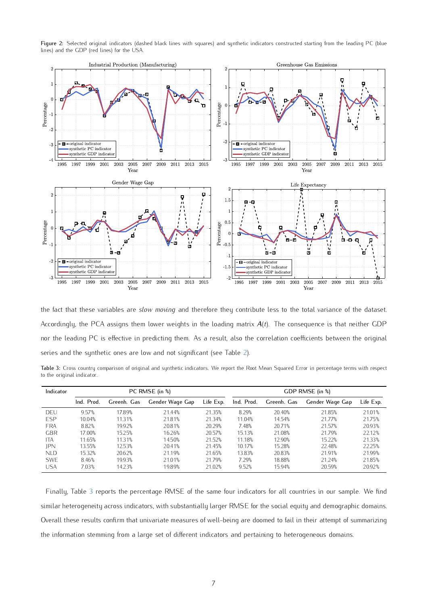Figure 2: Selected original indicators (dashed black lines with squares) and synthetic indicators constructed starting from the leading PC (blue lines) and the GDP (red lines) for the USA.



the fact that these variables are *slow moving* and therefore they contribute less to the total variance of the dataset. Accordingly, the PCA assigns them lower weights in the loading matrix *A*(*t*). The consequence is that neither GDP nor the leading PC is effective in predicting them. As a result, also the correlation coefficients between the original series and the synthetic ones are low and not significant (see Table 2).

Table 3: Cross country comparison of original and synthetic indicators. We report the Root Mean Squared Error in percentage terms with respect to the original indicator.

| Indicator  |            |             | PC RMSE (in %)  | GDP RMSE (in %) |            |             |                 |           |
|------------|------------|-------------|-----------------|-----------------|------------|-------------|-----------------|-----------|
|            | Ind. Prod. | Greenh. Gas | Gender Wage Gap | Life Exp.       | Ind. Prod. | Greenh. Gas | Gender Wage Gap | Life Exp. |
| DEU        | 9.57%      | 1789%       | 21.44%          | 21 35%          | 8.29%      | 20.40%      | 21.85%          | 21.01%    |
| <b>ESP</b> | 10.04%     | 11.31%      | 21.81%          | 21.34%          | 11.04%     | 14.54%      | 21.77%          | 21.75%    |
| <b>FRA</b> | 8.82%      | 19.92%      | 20.81%          | 20.29%          | 7.48%      | 20.71%      | 21.57%          | 20.93%    |
| <b>GBR</b> | 17.00%     | 15.25%      | 16.26%          | 20.57%          | 15.13%     | 21.08%      | 21.79%          | 22.12%    |
| <b>ITA</b> | 11.65%     | 11.31%      | 14.50%          | 21.52%          | 11.18%     | 12.90%      | 15.22%          | 21.33%    |
| <b>IPN</b> | 13.55%     | 12.53%      | 20.41%          | 21.45%          | 10.17%     | 15.28%      | 22.48%          | 22.25%    |
| NI D       | 15.32%     | 20.62%      | 21.19%          | 21.65%          | 13.83%     | 20.83%      | 21.91%          | 21.99%    |
| <b>SWF</b> | 8.46%      | 19.93%      | 21.01%          | 2179%           | 7.29%      | 18.88%      | 21 24%          | 21.85%    |
| <b>USA</b> | 7.03%      | 14.23%      | 19.89%          | 21.02%          | 9.52%      | 15.94%      | 20.59%          | 20.92%    |

Finally, Table 3 reports the percentage RMSE of the same four indicators for all countries in our sample. We find similar heterogeneity across indicators, with substantially larger RMSE for the social equity and demographic domains. Overall these results confirm that univariate measures of well-being are doomed to fail in their attempt of summarizing the information stemming from a large set of different indicators and pertaining to heterogeneous domains.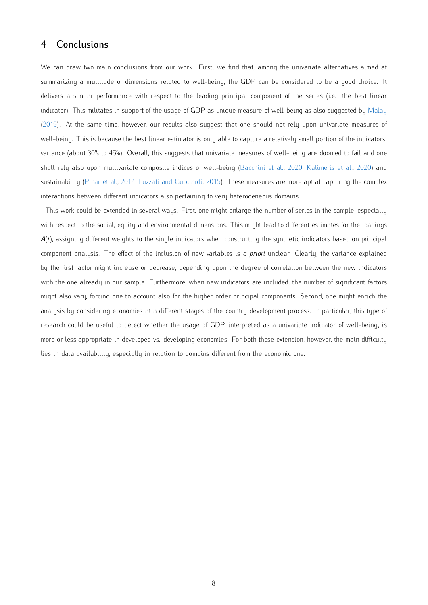### 4 Conclusions

We can draw two main conclusions from our work. First, we find that, among the univariate alternatives aimed at summarizing a multitude of dimensions related to well-being, the GDP can be considered to be a good choice. It delivers a similar performance with respect to the leading principal component of the series (i.e. the best linear indicator). This militates in support of the usage of GDP as unique measure of well-being as also suggested by Malay (2019). At the same time, however, our results also suggest that one should not rely upon univariate measures of well-being. This is because the best linear estimator is only able to capture a relatively small portion of the indicators' variance (about 30% to 45%). Overall, this suggests that univariate measures of well-being are doomed to fail and one shall rely also upon multivariate composite indices of well-being (Bacchini et al., 2020; Kalimeris et al., 2020) and sustainability (Pinar et al., 2014; Luzzati and Gucciardi, 2015). These measures are more apt at capturing the complex interactions between different indicators also pertaining to very heterogeneous domains.

This work could be extended in several ways. First, one might enlarge the number of series in the sample, especially with respect to the social, equity and environmental dimensions. This might lead to different estimates for the loadings *A*(*t*), assigning different weights to the single indicators when constructing the synthetic indicators based on principal component analysis. The effect of the inclusion of new variables is *a priori* unclear. Clearly, the variance explained by the first factor might increase or decrease, depending upon the degree of correlation between the new indicators with the one already in our sample. Furthermore, when new indicators are included, the number of significant factors might also vary, forcing one to account also for the higher order principal components. Second, one might enrich the analysis by considering economies at a different stages of the country development process. In particular, this type of research could be useful to detect whether the usage of GDP, interpreted as a univariate indicator of well-being, is more or less appropriate in developed vs. developing economies. For both these extension, however, the main difficulty lies in data availability, especially in relation to domains different from the economic one.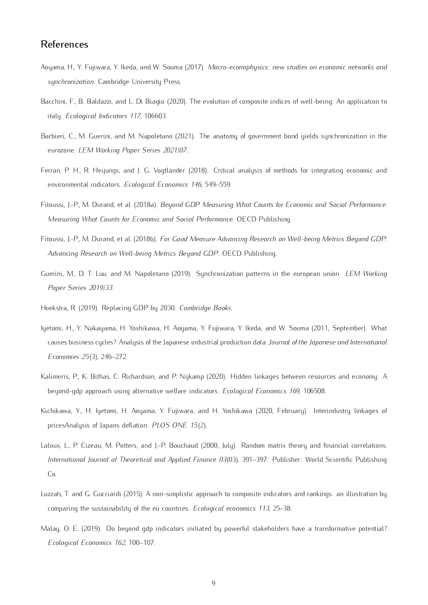# References

- Aoyama, H., Y. Fujiwara, Y. Ikeda, and W. Souma (2017). *Macro-econophysics: new studies on economic networks and synchronization*. Cambridge University Press.
- Bacchini, F., B. Baldazzi, and L. Di Biagio (2020). The evolution of composite indices of well-being: An application to italy. *Ecological Indicators 117*, 106603.
- Barbieri, C., M. Guerini, and M. Napoletano (2021). The anatomy of government bond yields synchronization in the eurozone. *LEM Working Paper Series 2021/07*.
- Ferran, P. H., R. Heijungs, and J. G. Vogtländer (2018). Critical analysis of methods for integrating economic and environmental indicators. *Ecological Economics 146*, 549–559.
- Fitoussi, J.-P., M. Durand, et al. (2018a). *Beyond GDP Measuring What Counts for Economic and Social Performance: Measuring What Counts for Economic and Social Performance*. OECD Publishing.
- Fitoussi, J.-P., M. Durand, et al. (2018b). *For Good Measure Advancing Research on Well-being Metrics Beyond GDP: Advancing Research on Well-being Metrics Beyond GDP*. OECD Publishing.
- Guerini, M., D. T. Luu, and M. Napoletano (2019). Synchronization patterns in the european union. *LEM Working Paper Series 2019/33*.
- Hoekstra, R. (2019). Replacing GDP by 2030. *Cambridge Books*.
- Iyetomi, H., Y. Nakayama, H. Yoshikawa, H. Aoyama, Y. Fujiwara, Y. Ikeda, and W. Souma (2011, September). What causes business cycles? Analysis of the Japanese industrial production data. *Journal of the Japanese and International Economies 25*(3), 246–272.
- Kalimeris, P., K. Bithas, C. Richardson, and P. Nijkamp (2020). Hidden linkages between resources and economy: A beyond-gdp approach using alternative welfare indicators. *Ecological Economics 169*, 106508.
- Kichikawa, Y., H. Iyetomi, H. Aoyama, Y. Fujiwara, and H. Yoshikawa (2020, February). Interindustry linkages of pricesAnalysis of Japans deflation. *PLOS ONE 15*(2).
- Laloux, L., P. Cizeau, M. Potters, and J.-P. Bouchaud (2000, July). Random matrix theory and financial correlations. *International Journal of Theoretical and Applied Finance 03*(03), 391–397. Publisher: World Scientific Publishing Co.
- Luzzati, T. and G. Gucciardi (2015). A non-simplistic approach to composite indicators and rankings: an illustration by comparing the sustainability of the eu countries. *Ecological economics 113*, 25–38.
- Malay, O. E. (2019). Do beyond gdp indicators initiated by powerful stakeholders have a transformative potential? *Ecological Economics 162*, 100–107.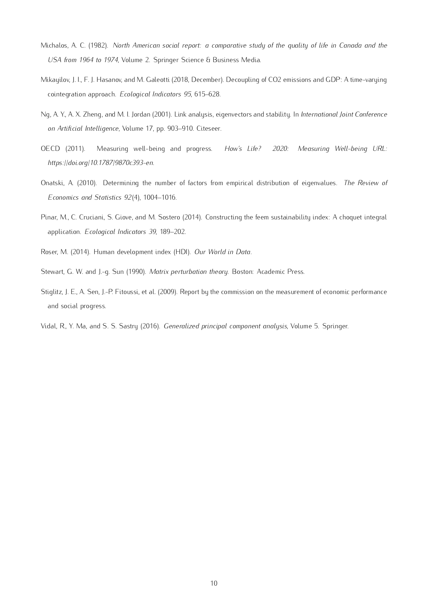- Michalos, A. C. (1982). *North American social report: a comparative study of the quality of life in Canada and the USA from 1964 to 1974*, Volume 2. Springer Science & Business Media.
- Mikayilov, J. I., F. J. Hasanov, and M. Galeotti (2018, December). Decoupling of CO2 emissions and GDP: A time-varying cointegration approach. *Ecological Indicators 95*, 615–628.
- Ng, A. Y., A. X. Zheng, and M. I. Jordan (2001). Link analysis, eigenvectors and stability. In *International Joint Conference on Artificial Intelligence*, Volume 17, pp. 903–910. Citeseer.
- OECD (2011). Measuring well-being and progress. *How's Life? 2020: Measuring Well-being URL: https://doi.org/10.1787/9870c393-en*.
- Onatski, A. (2010). Determining the number of factors from empirical distribution of eigenvalues. *The Review of Economics and Statistics 92*(4), 1004–1016.
- Pinar, M., C. Cruciani, S. Giove, and M. Sostero (2014). Constructing the feem sustainability index: A choquet integral application. *Ecological Indicators 39*, 189–202.
- Roser, M. (2014). Human development index (HDI). *Our World in Data*.
- Stewart, G. W. and J.-g. Sun (1990). *Matrix perturbation theory*. Boston: Academic Press.
- Stiglitz, J. E., A. Sen, J.-P. Fitoussi, et al. (2009). Report by the commission on the measurement of economic performance and social progress.
- Vidal, R., Y. Ma, and S. S. Sastry (2016). *Generalized principal component analysis*, Volume 5. Springer.